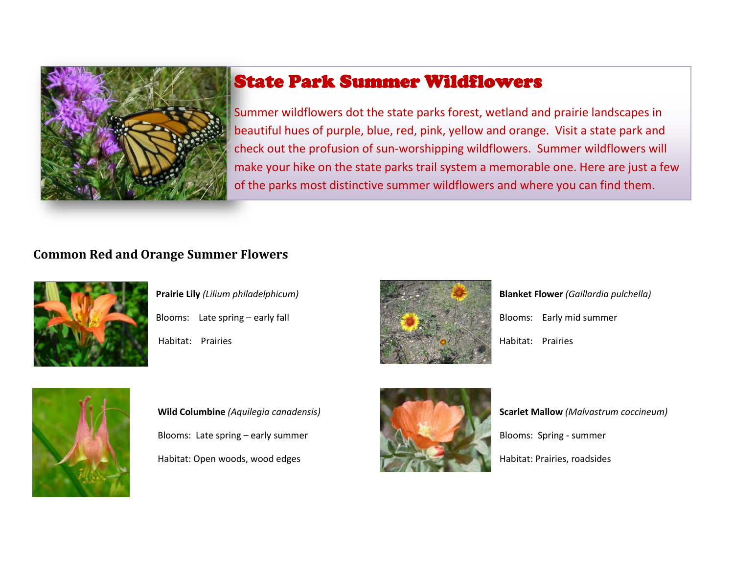

## State Park Summer Wildflowers

Summer wildflowers dot the state parks forest, wetland and prairie landscapes in beautiful hues of purple, blue, red, pink, yellow and orange. Visit a state park and check out the profusion of sun-worshipping wildflowers. Summer wildflowers will make your hike on the state parks trail system a memorable one. Here are just a few of the parks most distinctive summer wildflowers and where you can find them.

### **Common Red and Orange Summer Flowers**



Blooms: Late spring – early fall **Blooms: Late spring – early fall** Blooms: Early mid summer Habitat: Prairies Habitat: Prairies



**Prairie Lily** *(Lilium philadelphicum)* **Blanket Flower** *(Gaillardia pulchella)*



Blooms: Late spring – early summer Blooms: Spring - summer Habitat: Open woods, wood edges Habitat: Prairies, roadsides



*Wild Columbine (Aquilegia canadensis) Scarlet Mallow (Malvastrum coccineum)*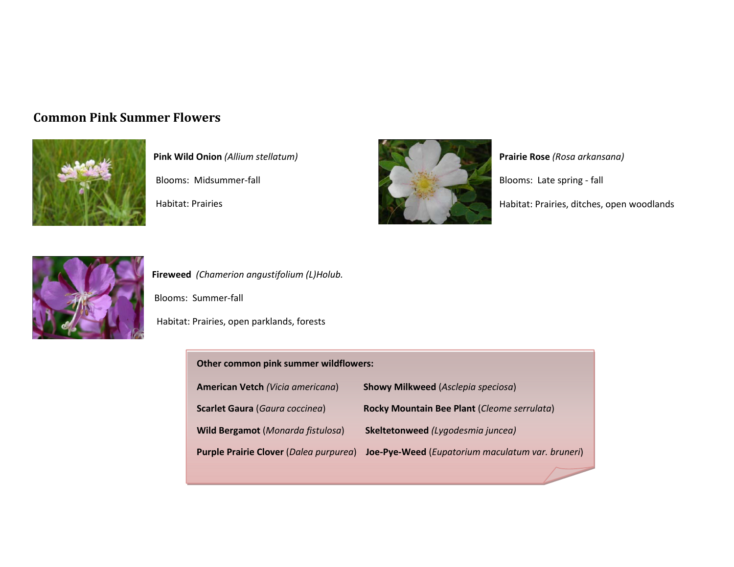#### **Common Pink Summer Flowers**



**Pink Wild Onion** *(Allium stellatum) Pink Wild Onion (Allium stellatum)* **Prairie Rose** *(Rosa arkansana)* Blooms: Midsummer-fall Blooms: Late spring - fall



Habitat: Prairies **Habitat: Prairies** Habitat: Prairies, ditches, open woodlands



**Fireweed** *(Chamerion angustifolium (L)Holub.*

Blooms: Summer-fall

Habitat: Prairies, open parklands, forests

#### **Other common pink summer wildflowers:**

| American Vetch (Vicia americana)         | <b>Showy Milkweed</b> (Asclepia speciosa)        |
|------------------------------------------|--------------------------------------------------|
| Scarlet Gaura (Gaura coccinea)           | Rocky Mountain Bee Plant (Cleome serrulata)      |
| <b>Wild Bergamot</b> (Monarda fistulosa) | Skeltetonweed (Lygodesmia juncea)                |
| Purple Prairie Clover (Dalea purpurea)   | Joe-Pye-Weed (Eupatorium maculatum var. bruneri) |
|                                          |                                                  |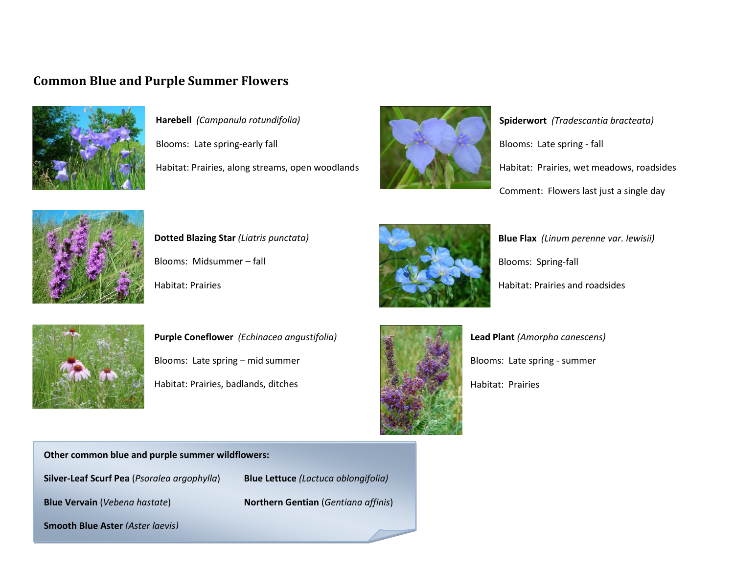#### **Common Blue and Purple Summer Flowers**



**Harebell** *(Campanula rotundifolia) Spiderwort (Tradescantia bracteata)* 

Blooms: Late spring-early fall Blooms: Late spring - fall



Habitat: Prairies, along streams, open woodlands Habitat: Prairies, wet meadows, roadsides Comment: Flowers last just a single day



Blooms: Midsummer – fall **Blooms: Spring-fall** Blooms: Spring-fall



**Dotted Blazing Star** *(Liatris punctata)* **<b>Blue Flax** *(Linum perenne var. lewisii)* Habitat: Prairies **Habitat: Prairies All Accords** Habitat: Prairies and roadsides



**Purple Coneflower** *(Echinacea angustifolia)* **Lead Plant** *(Amorpha canescens)* Blooms: Late spring – mid summer **Blooms: Late spring - summer** Habitat: Prairies, badlands, ditches Habitat: Prairies Habitat: Prairies



**Other common blue and purple summer wildflowers:** 

**Silver-Leaf Scurf Pea** (*Psoralea argophylla*) **Blue Lettuce** *(Lactuca oblongifolia)*

**Blue Vervain** (*Vebena hastate*) **Northern Gentian** (*Gentiana affinis*)

**Smooth Blue Aster** *(Aster laevis)*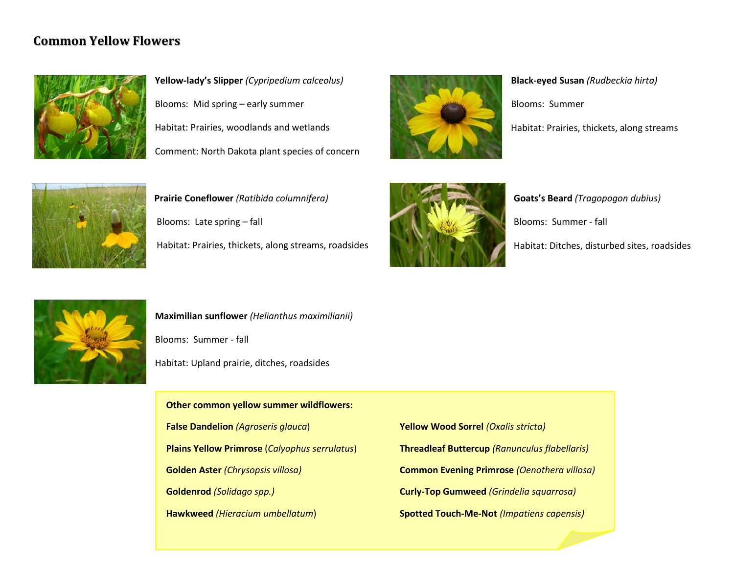#### **Common Yellow Flowers**



**Yellow-lady's Slipper** *(Cypripedium calceolus)* **Black-eyed Susan** *(Rudbeckia hirta)* Blooms: Mid spring – early summer Blooms: Summer Habitat: Prairies, woodlands and wetlands Habitat: Prairies, thickets, along streams Comment: North Dakota plant species of concern





Blooms: Late spring – fall  $\Box$  Blooms: Summer - fall Blooms: Summer - fall Habitat: Prairies, thickets, along streams, roadsides Habitat: Ditches, disturbed sites, roadsides



**Prairie Coneflower** (Ratibida columnifera) *Goats's Beard (Tragopogon dubius)* 



**Maximilian sunflower** *(Helianthus maximilianii)* Blooms: Summer - fall Habitat: Upland prairie, ditches, roadsides

**Other common yellow summer wildflowers:** 

**False Dandelion** *(Agroseris glauca*) **Yellow Wood Sorrel** *(Oxalis stricta)*

**Hawkweed** *(Hieracium umbellatum*) **Spotted Touch-Me-Not** *(Impatiens capensis)*

**Plains Yellow Primrose** (*Calyophus serrulatus*) **Threadleaf Buttercup** *(Ranunculus flabellaris)* **Golden Aster** *(Chrysopsis villosa)* **Common Evening Primrose** *(Oenothera villosa)* **Goldenrod** *(Solidago spp.)* **Curly-Top Gumweed** *(Grindelia squarrosa)*